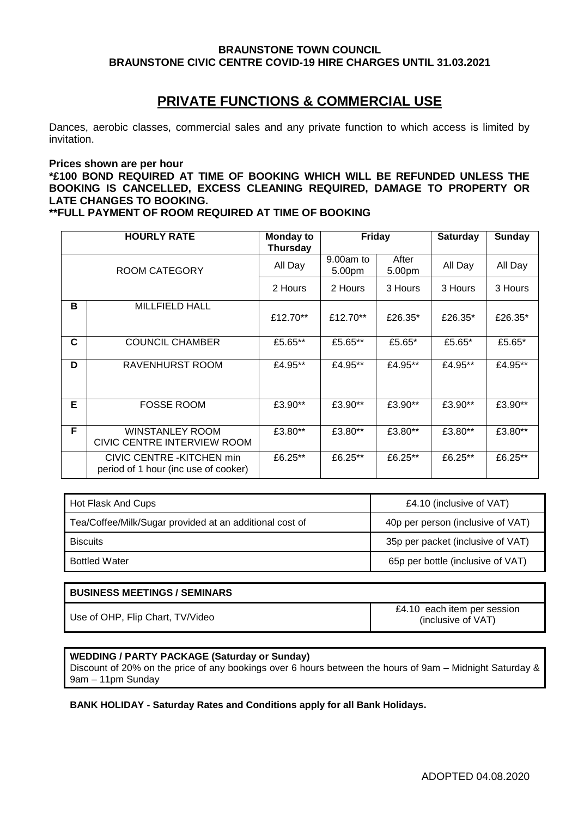## **BRAUNSTONE TOWN COUNCIL BRAUNSTONE CIVIC CENTRE COVID-19 HIRE CHARGES UNTIL 31.03.2021**

# **PRIVATE FUNCTIONS & COMMERCIAL USE**

Dances, aerobic classes, commercial sales and any private function to which access is limited by invitation.

### **Prices shown are per hour**

**\*£100 BOND REQUIRED AT TIME OF BOOKING WHICH WILL BE REFUNDED UNLESS THE BOOKING IS CANCELLED, EXCESS CLEANING REQUIRED, DAMAGE TO PROPERTY OR LATE CHANGES TO BOOKING.**

**\*\*FULL PAYMENT OF ROOM REQUIRED AT TIME OF BOOKING**

|   | <b>HOURLY RATE</b>                                                 | <b>Monday to</b><br><b>Thursday</b> | <b>Friday</b>       |                 | <b>Saturday</b> | <b>Sunday</b> |
|---|--------------------------------------------------------------------|-------------------------------------|---------------------|-----------------|-----------------|---------------|
|   | <b>ROOM CATEGORY</b>                                               | All Day                             | 9.00am to<br>5.00pm | After<br>5.00pm | All Day         | All Day       |
|   |                                                                    | 2 Hours                             | 2 Hours             | 3 Hours         | 3 Hours         | 3 Hours       |
| в | <b>MILLFIELD HALL</b>                                              | £12.70**                            | £12.70**            | £26.35*         | £26.35*         | £26.35*       |
| C | <b>COUNCIL CHAMBER</b>                                             | £5.65**                             | £5.65**             | £5.65*          | £5.65*          | £5.65*        |
| D | RAVENHURST ROOM                                                    | £4.95**                             | £4.95**             | £4.95**         | £4.95**         | £4.95**       |
| Е | <b>FOSSE ROOM</b>                                                  | £3.90**                             | £3.90**             | £3.90**         | £3.90**         | £3.90 $**$    |
| F | WINSTANLEY ROOM<br>CIVIC CENTRE INTERVIEW ROOM                     | £3.80**                             | £3.80**             | £3.80**         | £3.80**         | £3.80**       |
|   | CIVIC CENTRE - KITCHEN min<br>period of 1 hour (inc use of cooker) | £6.25**                             | £6.25**             | £6.25**         | £6.25**         | £6.25**       |

| Hot Flask And Cups                                      | £4.10 (inclusive of VAT)          |  |  |
|---------------------------------------------------------|-----------------------------------|--|--|
| Tea/Coffee/Milk/Sugar provided at an additional cost of | 40p per person (inclusive of VAT) |  |  |
| <b>Biscuits</b>                                         | 35p per packet (inclusive of VAT) |  |  |
| <b>Bottled Water</b>                                    | 65p per bottle (inclusive of VAT) |  |  |

| <b>BUSINESS MEETINGS / SEMINARS</b> |                                                   |  |  |  |
|-------------------------------------|---------------------------------------------------|--|--|--|
| Use of OHP, Flip Chart, TV/Video    | £4.10 each item per session<br>(inclusive of VAT) |  |  |  |

### **WEDDING / PARTY PACKAGE (Saturday or Sunday)**

Discount of 20% on the price of any bookings over 6 hours between the hours of 9am – Midnight Saturday & 9am – 11pm Sunday

## **BANK HOLIDAY - Saturday Rates and Conditions apply for all Bank Holidays.**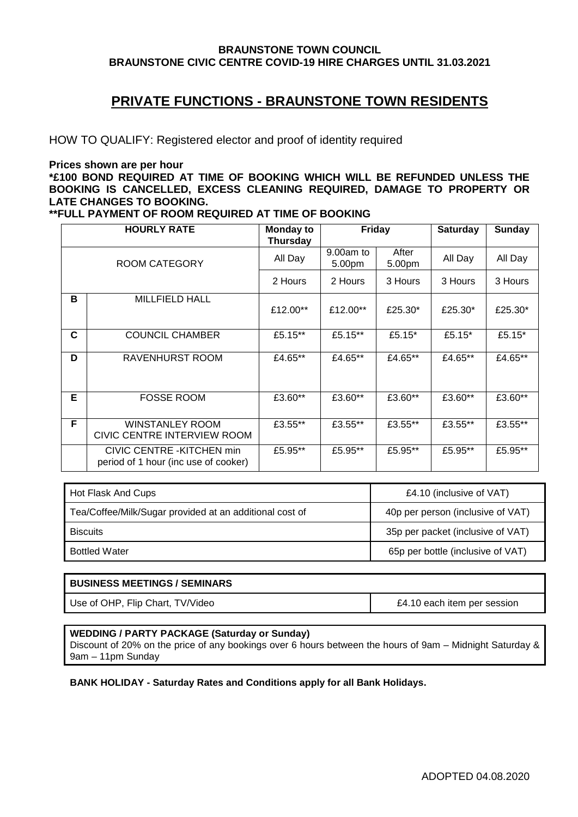## **BRAUNSTONE TOWN COUNCIL BRAUNSTONE CIVIC CENTRE COVID-19 HIRE CHARGES UNTIL 31.03.2021**

## **PRIVATE FUNCTIONS - BRAUNSTONE TOWN RESIDENTS**

HOW TO QUALIFY: Registered elector and proof of identity required

### **Prices shown are per hour**

**\*£100 BOND REQUIRED AT TIME OF BOOKING WHICH WILL BE REFUNDED UNLESS THE BOOKING IS CANCELLED, EXCESS CLEANING REQUIRED, DAMAGE TO PROPERTY OR LATE CHANGES TO BOOKING.**

**\*\*FULL PAYMENT OF ROOM REQUIRED AT TIME OF BOOKING**

|   | <b>HOURLY RATE</b>                                                 | <b>Monday to</b><br><b>Thursday</b> | <b>Friday</b>         |                 | <b>Saturday</b> | <b>Sunday</b> |
|---|--------------------------------------------------------------------|-------------------------------------|-----------------------|-----------------|-----------------|---------------|
|   | ROOM CATEGORY                                                      | All Day                             | $9.00am$ to<br>5.00pm | After<br>5.00pm | All Day         | All Day       |
|   |                                                                    | 2 Hours                             | 2 Hours               | 3 Hours         | 3 Hours         | 3 Hours       |
| в | <b>MILLFIELD HALL</b>                                              | £12.00**                            | £12.00**              | £25.30*         | £25.30*         | £25.30*       |
| C | <b>COUNCIL CHAMBER</b>                                             | £5.15**                             | £5.15**               | £5.15*          | £5.15*          | £5.15*        |
| D | RAVENHURST ROOM                                                    | £4.65**                             | £4.65**               | £4.65**         | £4.65**         | £4.65**       |
| Е | <b>FOSSE ROOM</b>                                                  | £3.60**                             | £3.60**               | £3.60**         | £3.60**         | £3.60**       |
| F | WINSTANLEY ROOM<br>CIVIC CENTRE INTERVIEW ROOM                     | £3.55**                             | £3.55 $**$            | £3.55**         | £3.55 $**$      | £3.55**       |
|   | CIVIC CENTRE - KITCHEN min<br>period of 1 hour (inc use of cooker) | £5.95**                             | £5.95**               | £5.95**         | £5.95**         | £5.95**       |

| Hot Flask And Cups                                      | £4.10 (inclusive of VAT)          |  |  |
|---------------------------------------------------------|-----------------------------------|--|--|
| Tea/Coffee/Milk/Sugar provided at an additional cost of | 40p per person (inclusive of VAT) |  |  |
| <b>Biscuits</b>                                         | 35p per packet (inclusive of VAT) |  |  |
| <b>Bottled Water</b>                                    | 65p per bottle (inclusive of VAT) |  |  |

# **BUSINESS MEETINGS / SEMINARS** Use of OHP, Flip Chart, TV/Video **EXALL AND SECUTE 12.10 each item per session**

## **WEDDING / PARTY PACKAGE (Saturday or Sunday)**

Discount of 20% on the price of any bookings over 6 hours between the hours of 9am – Midnight Saturday & 9am – 11pm Sunday

**BANK HOLIDAY - Saturday Rates and Conditions apply for all Bank Holidays.**